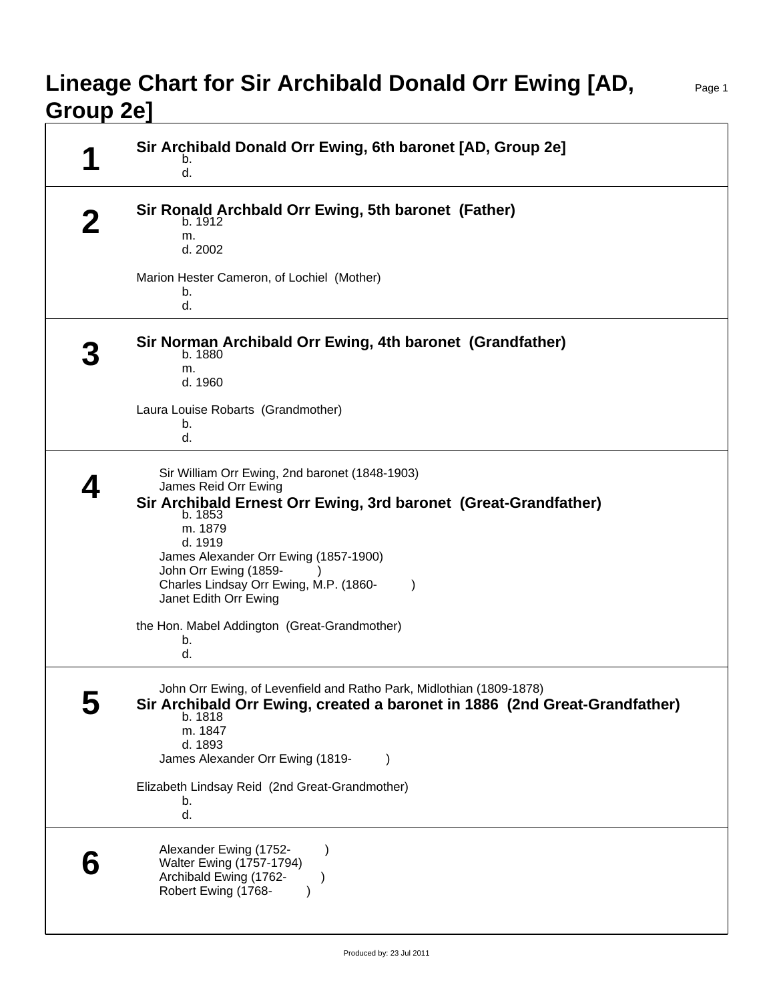## **Lineage Chart for Sir Archibald Donald Orr Ewing [AD, Group 2e]**

Page 1

| Sir Archibald Donald Orr Ewing, 6th baronet [AD, Group 2e]<br>b.<br>d.                                                                                                                                                                                                                                                                                                             |
|------------------------------------------------------------------------------------------------------------------------------------------------------------------------------------------------------------------------------------------------------------------------------------------------------------------------------------------------------------------------------------|
| Sir Ronald Archbald Orr Ewing, 5th baronet (Father)<br>b. 1912<br>m.<br>d. 2002                                                                                                                                                                                                                                                                                                    |
| Marion Hester Cameron, of Lochiel (Mother)<br>b.<br>d.                                                                                                                                                                                                                                                                                                                             |
| Sir Norman Archibald Orr Ewing, 4th baronet (Grandfather)<br>b. 1880<br>m.<br>d. 1960<br>Laura Louise Robarts (Grandmother)<br>b.<br>d.                                                                                                                                                                                                                                            |
| Sir William Orr Ewing, 2nd baronet (1848-1903)<br>James Reid Orr Ewing<br>Sir Archibald Ernest Orr Ewing, 3rd baronet (Great-Grandfather)<br>b. 1853<br>m. 1879<br>d. 1919<br>James Alexander Orr Ewing (1857-1900)<br>John Orr Ewing (1859-<br>Charles Lindsay Orr Ewing, M.P. (1860-<br>$\lambda$<br>Janet Edith Orr Ewing<br>the Hon. Mabel Addington (Great-Grandmother)<br>b. |
| d.<br>John Orr Ewing, of Levenfield and Ratho Park, Midlothian (1809-1878)<br>Sir Archibald Orr Ewing, created a baronet in 1886 (2nd Great-Grandfather)<br>b. 1818<br>m. 1847<br>d. 1893<br>James Alexander Orr Ewing (1819-<br>Elizabeth Lindsay Reid (2nd Great-Grandmother)<br>b.<br>d.                                                                                        |
| Alexander Ewing (1752-<br>$\mathcal{Y}$<br>Walter Ewing (1757-1794)<br>Archibald Ewing (1762-<br>Robert Ewing (1768-                                                                                                                                                                                                                                                               |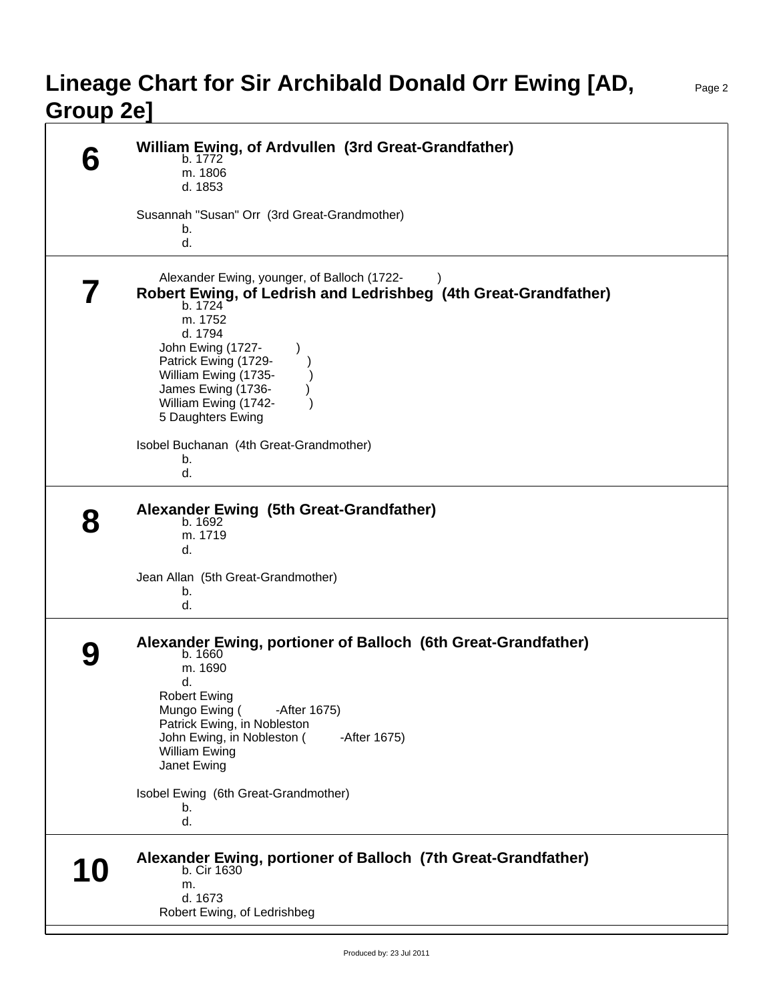## **Lineage Chart for Sir Archibald Donald Orr Ewing [AD, Group 2e]**

|           | William Ewing, of Ardvullen (3rd Great-Grandfather)<br>b. 1772<br>m. 1806<br>d. 1853                                                                                                                                                                                                                                      |
|-----------|---------------------------------------------------------------------------------------------------------------------------------------------------------------------------------------------------------------------------------------------------------------------------------------------------------------------------|
|           | Susannah "Susan" Orr (3rd Great-Grandmother)<br>b.<br>d.                                                                                                                                                                                                                                                                  |
|           | Alexander Ewing, younger, of Balloch (1722-<br>Robert Ewing, of Ledrish and Ledrishbeg (4th Great-Grandfather)<br>b. 1724<br>m. 1752<br>d. 1794<br>John Ewing (1727-<br>Patrick Ewing (1729-<br>William Ewing (1735-<br>James Ewing (1736-<br>William Ewing (1742-<br>5 Daughters Ewing                                   |
|           | Isobel Buchanan (4th Great-Grandmother)<br>b.<br>d.                                                                                                                                                                                                                                                                       |
|           | Alexander Ewing (5th Great-Grandfather)<br>b. 1692<br>m. 1719<br>d.<br>Jean Allan (5th Great-Grandmother)<br>b.<br>d.                                                                                                                                                                                                     |
|           | Alexander Ewing, portioner of Balloch (6th Great-Grandfather)<br>b. 1660<br>m. 1690<br>d.<br><b>Robert Ewing</b><br>Mungo Ewing (<br>-After 1675)<br>Patrick Ewing, in Nobleston<br>John Ewing, in Nobleston (<br>-After 1675)<br><b>William Ewing</b><br>Janet Ewing<br>Isobel Ewing (6th Great-Grandmother)<br>b.<br>d. |
| <b>10</b> | Alexander Ewing, portioner of Balloch (7th Great-Grandfather)<br>b. Cir 1630<br>m.<br>d. 1673<br>Robert Ewing, of Ledrishbeg                                                                                                                                                                                              |